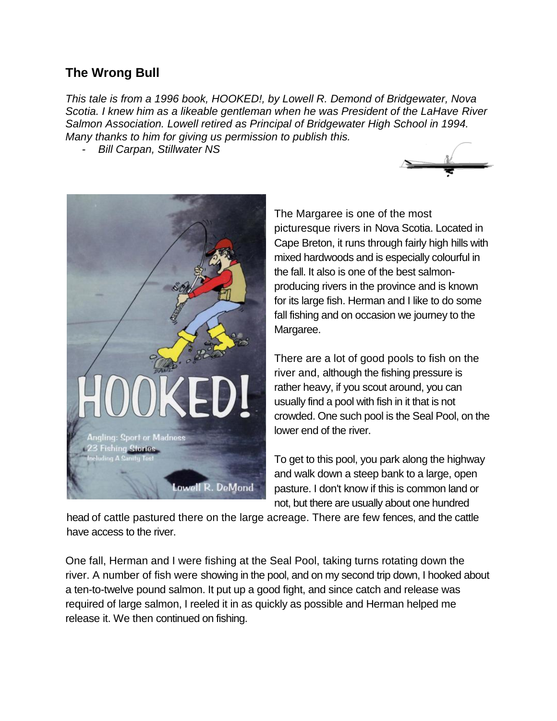## **The Wrong Bull**

*This tale is from a 1996 book, HOOKED!, by Lowell R. Demond of Bridgewater, Nova Scotia. I knew him as a likeable gentleman when he was President of the LaHave River Salmon Association. Lowell retired as Principal of Bridgewater High School in 1994. Many thanks to him for giving us permission to publish this.*

*- Bill Carpan, Stillwater NS*





The Margaree is one of the most picturesque rivers in Nova Scotia. Located in Cape Breton, it runs through fairly high hills with mixed hardwoods and is especially colourful in the fall. It also is one of the best salmonproducing rivers in the province and is known for its large fish. Herman and I like to do some fall fishing and on occasion we journey to the Margaree.

There are a lot of good pools to fish on the river and, although the fishing pressure is rather heavy, if you scout around, you can usually find a pool with fish in it that is not crowded. One such pool is the Seal Pool, on the lower end of the river.

To get to this pool, you park along the highway and walk down a steep bank to a large, open pasture. I don't know if this is common land or not, but there are usually about one hundred

head of cattle pastured there on the large acreage. There are few fences, and the cattle have access to the river.

One fall, Herman and I were fishing at the Seal Pool, taking turns rotating down the river. A number of fish were showing in the pool, and on my second trip down, I hooked about a ten-to-twelve pound salmon. It put up a good fight, and since catch and release was required of large salmon, I reeled it in as quickly as possible and Herman helped me release it. We then continued on fishing.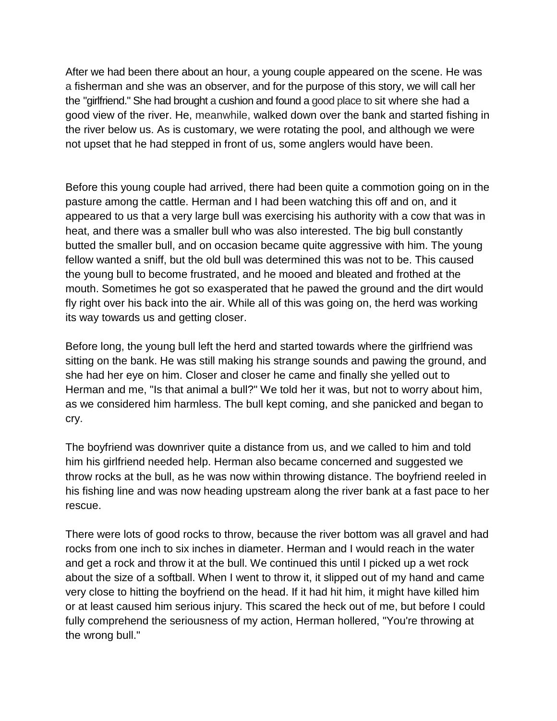After we had been there about an hour, a young couple appeared on the scene. He was a fisherman and she was an observer, and for the purpose of this story, we will call her the "girlfriend." She had brought a cushion and found a good place to sit where she had a good view of the river. He, meanwhile, walked down over the bank and started fishing in the river below us. As is customary, we were rotating the pool, and although we were not upset that he had stepped in front of us, some anglers would have been.

Before this young couple had arrived, there had been quite a commotion going on in the pasture among the cattle. Herman and I had been watching this off and on, and it appeared to us that a very large bull was exercising his authority with a cow that was in heat, and there was a smaller bull who was also interested. The big bull constantly butted the smaller bull, and on occasion became quite aggressive with him. The young fellow wanted a sniff, but the old bull was determined this was not to be. This caused the young bull to become frustrated, and he mooed and bleated and frothed at the mouth. Sometimes he got so exasperated that he pawed the ground and the dirt would fly right over his back into the air. While all of this was going on, the herd was working its way towards us and getting closer.

Before long, the young bull left the herd and started towards where the girlfriend was sitting on the bank. He was still making his strange sounds and pawing the ground, and she had her eye on him. Closer and closer he came and finally she yelled out to Herman and me, "Is that animal a bull?" We told her it was, but not to worry about him, as we considered him harmless. The bull kept coming, and she panicked and began to cry.

The boyfriend was downriver quite a distance from us, and we called to him and told him his girlfriend needed help. Herman also became concerned and suggested we throw rocks at the bull, as he was now within throwing distance. The boyfriend reeled in his fishing line and was now heading upstream along the river bank at a fast pace to her rescue.

There were lots of good rocks to throw, because the river bottom was all gravel and had rocks from one inch to six inches in diameter. Herman and I would reach in the water and get a rock and throw it at the bull. We continued this until I picked up a wet rock about the size of a softball. When I went to throw it, it slipped out of my hand and came very close to hitting the boyfriend on the head. If it had hit him, it might have killed him or at least caused him serious injury. This scared the heck out of me, but before I could fully comprehend the seriousness of my action, Herman hollered, "You're throwing at the wrong bull."